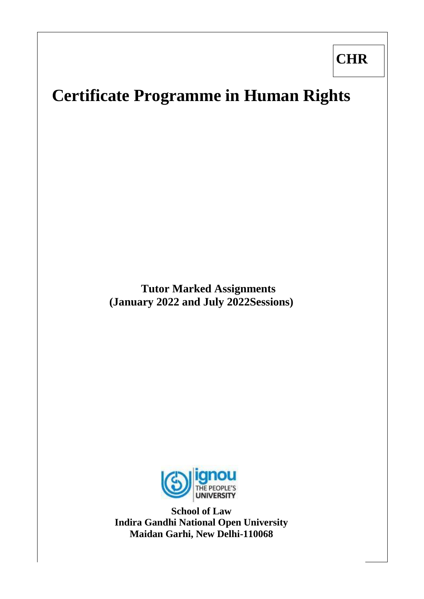**CHR** 

# **Certificate Programme in Human Rights**

**Tutor Marked Assignments (January 2022 and July 2022Sessions)**



**School of Law Indira Gandhi National Open University Maidan Garhi, New Delhi-110068**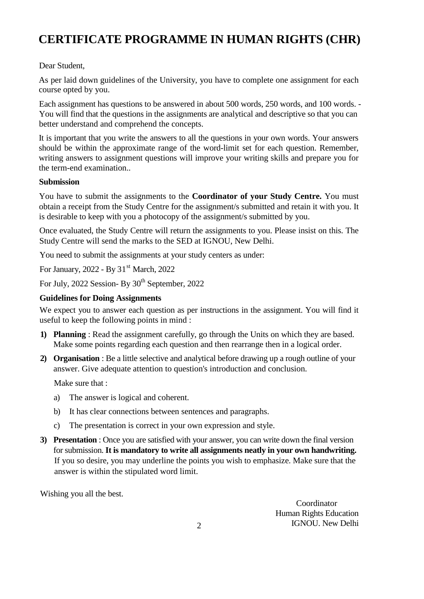# **CERTIFICATE PROGRAMME IN HUMAN RIGHTS (CHR)**

# Dear Student,

As per laid down guidelines of the University, you have to complete one assignment for each course opted by you.

Each assignment has questions to be answered in about 500 words, 250 words, and 100 words. - You will find that the questions in the assignments are analytical and descriptive so that you can better understand and comprehend the concepts.

It is important that you write the answers to all the questions in your own words. Your answers should be within the approximate range of the word-limit set for each question. Remember, writing answers to assignment questions will improve your writing skills and prepare you for the term-end examination..

#### **Submission**

You have to submit the assignments to the **Coordinator of your Study Centre.** You must obtain a receipt from the Study Centre for the assignment/s submitted and retain it with you. It is desirable to keep with you a photocopy of the assignment/s submitted by you.

Once evaluated, the Study Centre will return the assignments to you. Please insist on this. The Study Centre will send the marks to the SED at IGNOU, New Delhi.

You need to submit the assignments at your study centers as under:

For January,  $2022 - By 31<sup>st</sup> March, 2022$ 

For July, 2022 Session- By 30<sup>th</sup> September, 2022

## **Guidelines for Doing Assignments**

We expect you to answer each question as per instructions in the assignment. You will find it useful to keep the following points in mind :

- **1) Planning** : Read the assignment carefully, go through the Units on which they are based. Make some points regarding each question and then rearrange then in a logical order.
- **2) Organisation** : Be a little selective and analytical before drawing up a rough outline of your answer. Give adequate attention to question's introduction and conclusion.

Make sure that :

- a) The answer is logical and coherent.
- b) It has clear connections between sentences and paragraphs.
- c) The presentation is correct in your own expression and style.
- **3) Presentation** : Once you are satisfied with your answer, you can write down the final version for submission. **It is mandatory to write all assignments neatly in your own handwriting.** If you so desire, you may underline the points you wish to emphasize. Make sure that the answer is within the stipulated word limit.

Wishing you all the best.

Coordinator Human Rights Education IGNOU. New Delhi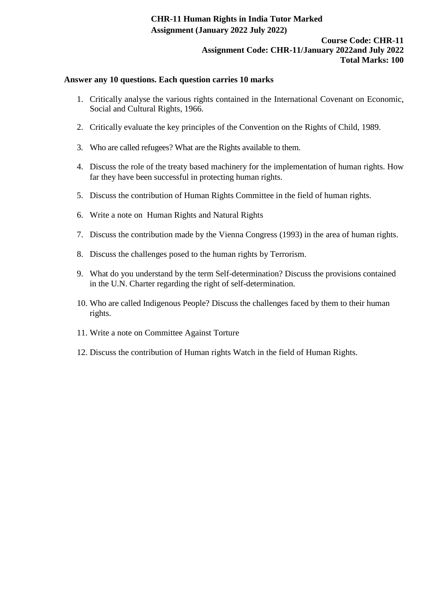## **CHR-11 Human Rights in India Tutor Marked Assignment (January 2022 July 2022)**

#### **Course Code: CHR-11 Assignment Code: CHR-11/January 2022and July 2022 Total Marks: 100**

#### **Answer any 10 questions. Each question carries 10 marks**

- 1. Critically analyse the various rights contained in the International Covenant on Economic, Social and Cultural Rights, 1966.
- 2. Critically evaluate the key principles of the Convention on the Rights of Child, 1989.
- 3. Who are called refugees? What are the Rights available to them.
- 4. Discuss the role of the treaty based machinery for the implementation of human rights. How far they have been successful in protecting human rights.
- 5. Discuss the contribution of Human Rights Committee in the field of human rights.
- 6. Write a note on Human Rights and Natural Rights
- 7. Discuss the contribution made by the Vienna Congress (1993) in the area of human rights.
- 8. Discuss the challenges posed to the human rights by Terrorism.
- 9. What do you understand by the term Self-determination? Discuss the provisions contained in the U.N. Charter regarding the right of self-determination.
- 10. Who are called Indigenous People? Discuss the challenges faced by them to their human rights.
- 11. Write a note on Committee Against Torture
- 12. Discuss the contribution of Human rights Watch in the field of Human Rights.